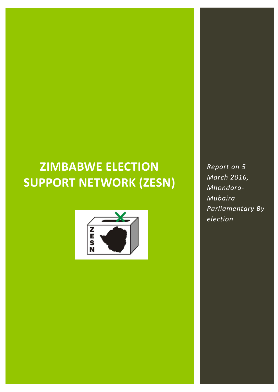# **ZIMBABWE ELECTION SUPPORT NETWORK (ZESN)**



*Report on 5 March 2016, Mhondoro-Mubaira Parliamentary Byelection*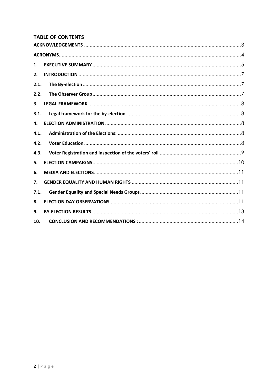## **TABLE OF CONTENTS**

| 1.   |  |
|------|--|
| 2.   |  |
| 2.1. |  |
| 2.2. |  |
| 3.   |  |
| 3.1. |  |
| 4.   |  |
| 4.1. |  |
| 4.2. |  |
| 4.3. |  |
| 5.   |  |
| 6.   |  |
| 7.   |  |
| 7.1. |  |
| 8.   |  |
| 9.   |  |
| 10.  |  |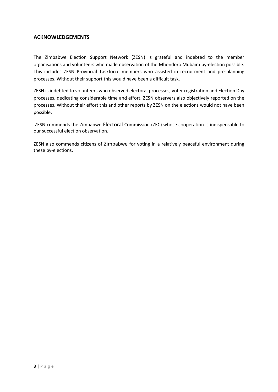### <span id="page-2-0"></span>**ACKNOWLEDGEMENTS**

The Zimbabwe Election Support Network (ZESN) is grateful and indebted to the member organisations and volunteers who made observation of the Mhondoro Mubaira by-election possible. This includes ZESN Provincial Taskforce members who assisted in recruitment and pre-planning processes. Without their support this would have been a difficult task.

ZESN is indebted to volunteers who observed electoral processes, voter registration and Election Day processes, dedicating considerable time and effort. ZESN observers also objectively reported on the processes. Without their effort this and other reports by ZESN on the elections would not have been possible.

ZESN commends the Zimbabwe Electoral Commission (ZEC) whose cooperation is indispensable to our successful election observation.

ZESN also commends citizens of Zimbabwe for voting in a relatively peaceful environment during these by-elections.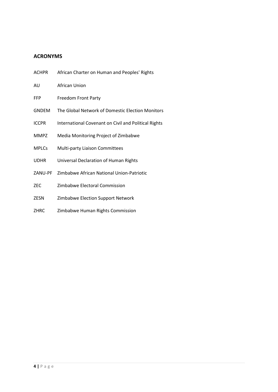# <span id="page-3-0"></span>**ACRONYMS**

| <b>ACHPR</b> | African Charter on Human and Peoples' Rights         |
|--------------|------------------------------------------------------|
| AU           | African Union                                        |
| <b>FFP</b>   | <b>Freedom Front Party</b>                           |
| <b>GNDEM</b> | The Global Network of Domestic Election Monitors     |
| <b>ICCPR</b> | International Covenant on Civil and Political Rights |
| <b>MMPZ</b>  | Media Monitoring Project of Zimbabwe                 |
| <b>MPLCs</b> | <b>Multi-party Liaison Committees</b>                |
| UDHR         | Universal Declaration of Human Rights                |
| ZANU-PF      | Zimbabwe African National Union-Patriotic            |
| ZEC          | Zimbabwe Electoral Commission                        |
| <b>ZESN</b>  | Zimbabwe Election Support Network                    |
| <b>ZHRC</b>  | Zimbabwe Human Rights Commission                     |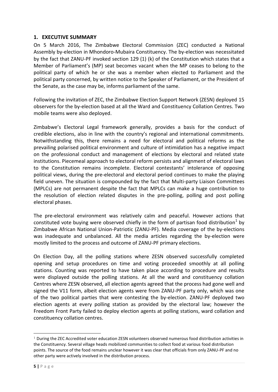## <span id="page-4-0"></span>**1. EXECUTIVE SUMMARY**

On 5 March 2016, The Zimbabwe Electoral Commission (ZEC) conducted a National Assembly by-election in Mhondoro-Mubaira Constituency. The by-election was necessitated by the fact that ZANU-PF invoked section 129 (1) (k) of the Constitution which states that a Member of Parliament's (MP) seat becomes vacant when the MP ceases to belong to the political party of which he or she was a member when elected to Parliament and the political party concerned, by written notice to the Speaker of Parliament, or the President of the Senate, as the case may be, informs parliament of the same.

Following the invitation of ZEC, the Zimbabwe Election Support Network (ZESN) deployed 15 observers for the by-election based at all the Ward and Constituency Collation Centres. Two mobile teams were also deployed.

Zimbabwe's Electoral Legal framework generally, provides a basis for the conduct of credible elections, also in line with the country's regional and international commitments. Notwithstanding this, there remains a need for electoral and political reforms as the prevailing polarised political environment and culture of intimidation has a negative impact on the professional conduct and management of elections by electoral and related state institutions. Piecemeal approach to electoral reform persists and alignment of electoral laws to the Constitution remains incomplete. Electoral contestants' intolerance of opposing political views, during the pre-electoral and electoral period continues to make the playing field uneven. The situation is compounded by the fact that Multi-party Liaison Committees (MPLCs) are not permanent despite the fact that MPLCs can make a huge contribution to the resolution of election related disputes in the pre-polling, polling and post polling electoral phases.

The pre-electoral environment was relatively calm and peaceful. However actions that constituted vote buying were observed chiefly in the form of partisan food distribution<sup>1</sup> by Zimbabwe African National Union-Patriotic (ZANU-PF). Media coverage of the by-elections was inadequate and unbalanced. All the media articles regarding the by-election were mostly limited to the process and outcome of ZANU-PF primary elections.

On Election Day, all the polling stations where ZESN observed successfully completed opening and setup procedures on time and voting proceeded smoothly at all polling stations. Counting was reported to have taken place according to procedure and results were displayed outside the polling stations. At all the ward and constituency collation Centres where ZESN observed, all election agents agreed that the process had gone well and signed the V11 form, albeit election agents were from ZANU-PF party only, which was one of the two political parties that were contesting the by-election. ZANU-PF deployed two election agents at every polling station as provided by the electoral law; however the Freedom Front Party failed to deploy election agents at polling stations, ward collation and constituency collation centres.

-

<sup>&</sup>lt;sup>1</sup> During the ZEC Accredited voter education ZESN volunteers observed numerous food distribution activities in the Constituency. Several village heads mobilized communities to collect food at various food distribution points. The source of the food remains unclear however it was clear that officials from only ZANU-PF and no other party were actively involved in the distribution process.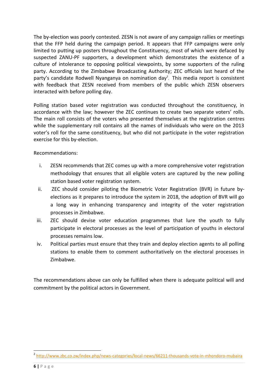The by-election was poorly contested. ZESN is not aware of any campaign rallies or meetings that the FFP held during the campaign period. It appears that FFP campaigns were only limited to putting up posters throughout the Constituency, most of which were defaced by suspected ZANU-PF supporters, a development which demonstrates the existence of a culture of intolerance to opposing political viewpoints, by some supporters of the ruling party. According to the Zimbabwe Broadcasting Authority; ZEC officials last heard of the party's candidate Rodwell Nyanganya on nomination day<sup>2</sup>. This media report is consistent with feedback that ZESN received from members of the public which ZESN observers interacted with before polling day.

Polling station based voter registration was conducted throughout the constituency, in accordance with the law; however the ZEC continues to create two separate voters' rolls. The main roll consists of the voters who presented themselves at the registration centres while the supplementary roll contains all the names of individuals who were on the 2013 voter's roll for the same constituency, but who did not participate in the voter registration exercise for this by-election.

Recommendations:

- i. ZESN recommends that ZEC comes up with a more comprehensive voter registration methodology that ensures that all eligible voters are captured by the new polling station based voter registration system.
- ii. ZEC should consider piloting the Biometric Voter Registration (BVR) in future byelections as it prepares to introduce the system in 2018, the adoption of BVR will go a long way in enhancing transparency and integrity of the voter registration processes in Zimbabwe.
- iii. ZEC should devise voter education programmes that lure the youth to fully participate in electoral processes as the level of participation of youths in electoral processes remains low.
- iv. Political parties must ensure that they train and deploy election agents to all polling stations to enable them to comment authoritatively on the electoral processes in Zimbabwe.

The recommendations above can only be fulfilled when there is adequate political will and commitment by the political actors in Government.

 $\overline{a}$ <sup>2</sup> <http://www.zbc.co.zw/index.php/news-categories/local-news/66211-thousands-vote-in-mhondoro-mubaira>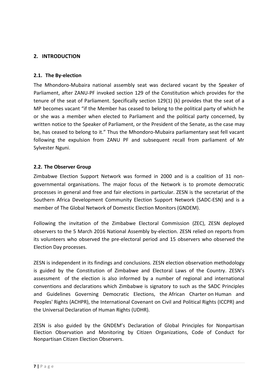# <span id="page-6-1"></span><span id="page-6-0"></span>**2. INTRODUCTION**

## **2.1. The By-election**

The Mhondoro-Mubaira national assembly seat was declared vacant by the Speaker of Parliament, after ZANU-PF invoked section 129 of the Constitution which provides for the tenure of the seat of Parliament. Specifically section 129(1) (k) provides that the seat of a MP becomes vacant "if the Member has ceased to belong to the political party of which he or she was a member when elected to Parliament and the political party concerned, by written notice to the Speaker of Parliament, or the President of the Senate, as the case may be, has ceased to belong to it." Thus the Mhondoro-Mubaira parliamentary seat fell vacant following the expulsion from ZANU PF and subsequent recall from parliament of Mr Sylvester Nguni.

## <span id="page-6-2"></span>**2.2. The Observer Group**

Zimbabwe Election Support Network was formed in 2000 and is a coalition of 31 nongovernmental organisations. The major focus of the Network is to promote democratic processes in general and free and fair elections in particular. ZESN is the secretariat of the Southern Africa Development Community Election Support Network (SADC-ESN) and is a member of The Global Network of Domestic Election Monitors (GNDEM).

Following the invitation of the Zimbabwe Electoral Commission (ZEC), ZESN deployed observers to the 5 March 2016 National Assembly by-election. ZESN relied on reports from its volunteers who observed the pre-electoral period and 15 observers who observed the Election Day processes.

ZESN is independent in its findings and conclusions. ZESN election observation methodology is guided by the Constitution of Zimbabwe and Electoral Laws of the Country. ZESN's assessment of the election is also informed by a number of regional and international conventions and declarations which Zimbabwe is signatory to such as the SADC Principles and Guidelines Governing Democratic Elections, the African Charter on Human and Peoples' Rights (ACHPR), the International Covenant on Civil and Political Rights (ICCPR) and the Universal Declaration of Human Rights (UDHR).

ZESN is also guided by the GNDEM's Declaration of Global Principles for Nonpartisan Election Observation and Monitoring by Citizen Organizations, Code of Conduct for Nonpartisan Citizen Election Observers.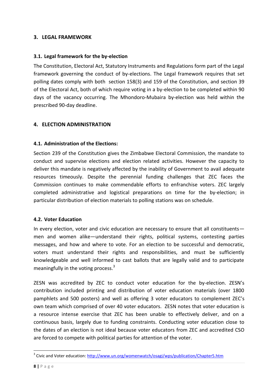## <span id="page-7-1"></span><span id="page-7-0"></span>**3. LEGAL FRAMEWORK**

## **3.1. Legal framework for the by-election**

The Constitution, Electoral Act, Statutory Instruments and Regulations form part of the Legal framework governing the conduct of by-elections. The Legal framework requires that set polling dates comply with both section 158(3) and 159 of the Constitution, and section 39 of the Electoral Act, both of which require voting in a by-election to be completed within 90 days of the vacancy occurring. The Mhondoro-Mubaira by-election was held within the prescribed 90-day deadline.

## <span id="page-7-3"></span><span id="page-7-2"></span>**4. ELECTION ADMINISTRATION**

#### **4.1. Administration of the Elections:**

Section 239 of the Constitution gives the Zimbabwe Electoral Commission, the mandate to conduct and supervise elections and election related activities. However the capacity to deliver this mandate is negatively affected by the inability of Government to avail adequate resources timeously. Despite the perennial funding challenges that ZEC faces the Commission continues to make commendable efforts to enfranchise voters. ZEC largely completed administrative and logistical preparations on time for the by-election; in particular distribution of election materials to polling stations was on schedule.

## <span id="page-7-4"></span>**4.2. Voter Education**

In every election, voter and civic education are necessary to ensure that all constituents men and women alike—understand their rights, political systems, contesting parties messages, and how and where to vote. For an election to be successful and democratic, voters must understand their rights and responsibilities, and must be sufficiently knowledgeable and well informed to cast ballots that are legally valid and to participate meaningfully in the voting process. $3<sup>3</sup>$ 

ZESN was accredited by ZEC to conduct voter education for the by-election. ZESN's contribution included printing and distribution of voter education materials (over 1800 pamphlets and 500 posters) and well as offering 3 voter educators to complement ZEC's own team which comprised of over 40 voter educators. ZESN notes that voter education is a resource intense exercise that ZEC has been unable to effectively deliver, and on a continuous basis, largely due to funding constraints. Conducting voter education close to the dates of an election is not ideal because voter educators from ZEC and accredited CSO are forced to compete with political parties for attention of the voter.

 $\overline{a}$ 

<sup>&</sup>lt;sup>3</sup> Civic and Voter education[: http://www.un.org/womenwatch/osagi/wps/publication/Chapter5.htm](http://www.un.org/womenwatch/osagi/wps/publication/Chapter5.htm)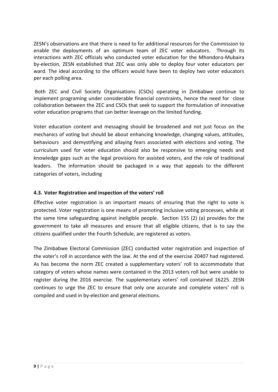ZESN's observations are that there is need to for additional resources for the Commission to enable the deployments of an optimum team of ZEC voter educators. Through its interactions with ZEC officials who conducted voter education for the Mhondoro-Mubaira by-election, ZESN established that ZEC was only able to deploy four voter educators per ward. The ideal according to the officers would have been to deploy two voter educators per each polling area.

Both ZEC and Civil Society Organisations (CSOs) operating in Zimbabwe continue to implement programing under considerable financial constraints, hence the need for close collaboration between the ZEC and CSOs that seek to support the formulation of innovative voter education programs that can better leverage on the limited funding.

Voter education content and messaging should be broadened and not just focus on the mechanics of voting but should be about enhancing knowledge, changing values, attitudes, behaviours and demystifying and allaying fears associated with elections and voting. The curriculum used for voter education should also be responsive to emerging needs and knowledge gaps such as the legal provisions for assisted voters, and the role of traditional leaders. The information should be packaged in a way that appeals to the different categories of voters, including

## <span id="page-8-0"></span>**4.3. Voter Registration and inspection of the voters' roll**

Effective voter registration is an important means of ensuring that the right to vote is protected. Voter registration is one means of promoting inclusive voting processes, while at the same time safeguarding against ineligible people. Section 155 (2) (a) provides for the government to take all measures and ensure that all eligible citizens, that is to say the citizens qualified under the Fourth Schedule, are registered as voters.

The Zimbabwe Electoral Commission (ZEC) conducted voter registration and inspection of the voter's roll in accordance with the law. At the end of the exercise 20407 had registered. As has become the norm ZEC created a supplementary voters' roll to accommodate that category of voters whose names were contained in the 2013 voters roll but were unable to register during the 2016 exercise. The supplementary voters' roll contained 16225. ZESN continues to urge the ZEC to ensure that only one accurate and complete voters' roll is compiled and used in by-election and general elections.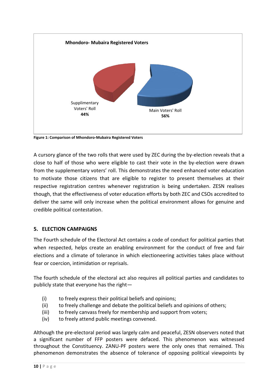

**Figure 1: Comparison of Mhondoro-Mubaira Registered Voters** 

A cursory glance of the two rolls that were used by ZEC during the by-election reveals that a close to half of those who were eligible to cast their vote in the by-election were drawn from the supplementary voters' roll. This demonstrates the need enhanced voter education to motivate those citizens that are eligible to register to present themselves at their respective registration centres whenever registration is being undertaken. ZESN realises though, that the effectiveness of voter education efforts by both ZEC and CSOs accredited to deliver the same will only increase when the political environment allows for genuine and credible political contestation.

## <span id="page-9-0"></span>**5. ELECTION CAMPAIGNS**

The Fourth schedule of the Electoral Act contains a code of conduct for political parties that when respected, helps create an enabling environment for the conduct of free and fair elections and a climate of tolerance in which electioneering activities takes place without fear or coercion, intimidation or reprisals.

The fourth schedule of the electoral act also requires all political parties and candidates to publicly state that everyone has the right—

- (i) to freely express their political beliefs and opinions;
- (ii) to freely challenge and debate the political beliefs and opinions of others;
- (iii) to freely canvass freely for membership and support from voters;
- (iv) to freely attend public meetings convened.

Although the pre-electoral period was largely calm and peaceful, ZESN observers noted that a significant number of FFP posters were defaced. This phenomenon was witnessed throughout the Constituency. ZANU-PF posters were the only ones that remained. This phenomenon demonstrates the absence of tolerance of opposing political viewpoints by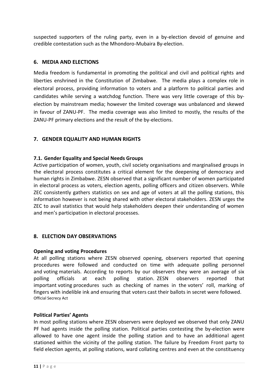suspected supporters of the ruling party, even in a by-election devoid of genuine and credible contestation such as the Mhondoro-Mubaira By-election.

## <span id="page-10-0"></span>**6. MEDIA AND ELECTIONS**

Media freedom is fundamental in promoting the political and civil and political rights and liberties enshrined in the Constitution of Zimbabwe. The media plays a complex role in electoral process, providing information to voters and a platform to political parties and candidates while serving a watchdog function. There was very little coverage of this byelection by mainstream media; however the limited coverage was unbalanced and skewed in favour of ZANU-PF. The media coverage was also limited to mostly, the results of the ZANU-PF primary elections and the result of the by-elections.

## <span id="page-10-2"></span><span id="page-10-1"></span>**7. GENDER EQUALITY AND HUMAN RIGHTS**

## **7.1. Gender Equality and Special Needs Groups**

Active participation of women, youth, civil society organisations and marginalised groups in the electoral process constitutes a critical element for the deepening of democracy and human rights in Zimbabwe. ZESN observed that a significant number of women participated in electoral process as voters, election agents, polling officers and citizen observers. While ZEC consistently gathers statistics on sex and age of voters at all the polling stations, this information however is not being shared with other electoral stakeholders. ZESN urges the ZEC to avail statistics that would help stakeholders deepen their understanding of women and men's participation in electoral processes.

## <span id="page-10-3"></span>**8. ELECTION DAY OBSERVATIONS**

#### **Opening and voting Procedures**

At all polling stations where ZESN observed opening, observers reported that opening procedures were followed and conducted on time with adequate polling personnel and voting materials. According to reports by our observers they were an average of six polling officials at each polling station. ZESN observers reported that important voting procedures such as checking of names in the voters' roll, marking of fingers with indelible ink and ensuring that voters cast their ballots in secret were followed. Official Secrecy Act

#### **Political Parties' Agents**

In most polling stations where ZESN observers were deployed we observed that only ZANU PF had agents inside the polling station. Political parties contesting the by-election were allowed to have one agent inside the polling station and to have an additional agent stationed within the vicinity of the polling station. The failure by Freedom Front party to field election agents, at polling stations, ward collating centres and even at the constituency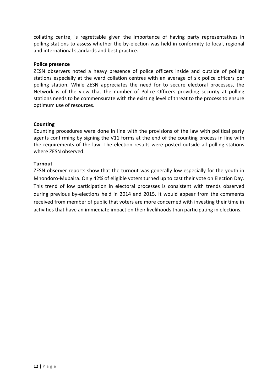collating centre, is regrettable given the importance of having party representatives in polling stations to assess whether the by-election was held in conformity to local, regional and international standards and best practice.

#### **Police presence**

ZESN observers noted a heavy presence of police officers inside and outside of polling stations especially at the ward collation centres with an average of six police officers per polling station. While ZESN appreciates the need for to secure electoral processes, the Network is of the view that the number of Police Officers providing security at polling stations needs to be commensurate with the existing level of threat to the process to ensure optimum use of resources.

#### **Counting**

Counting procedures were done in line with the provisions of the law with political party agents confirming by signing the V11 forms at the end of the counting process in line with the requirements of the law. The election results were posted outside all polling stations where ZESN observed.

#### **Turnout**

ZESN observer reports show that the turnout was generally low especially for the youth in Mhondoro-Mubaira. Only 42% of eligible voters turned up to cast their vote on Election Day. This trend of low participation in electoral processes is consistent with trends observed during previous by-elections held in 2014 and 2015. It would appear from the comments received from member of public that voters are more concerned with investing their time in activities that have an immediate impact on their livelihoods than participating in elections.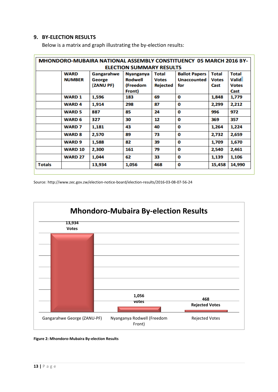#### <span id="page-12-0"></span>**9. BY-ELECTION RESULTS**

|               |                              | <b>MHONDORO-MUBAIRA NATIONAL ASSEMBLY CONSTITUENCY 05 MARCH 2016 BY-</b> | <b>ELECTION SUMMARY RESULTS</b>                |                                                 |                                                   |                                      |                                              |
|---------------|------------------------------|--------------------------------------------------------------------------|------------------------------------------------|-------------------------------------------------|---------------------------------------------------|--------------------------------------|----------------------------------------------|
|               | <b>WARD</b><br><b>NUMBER</b> | Gangarahwe<br>George<br>(ZANU PF)                                        | <b>Nyanganya</b><br><b>Rodwell</b><br>(Freedom | <b>Total</b><br><b>Votes</b><br><b>Rejected</b> | <b>Ballot Papers</b><br><b>Unaccounted</b><br>for | <b>Total</b><br><b>Votes</b><br>Cast | <b>Total</b><br><b>Valid</b><br><b>Votes</b> |
|               | <b>WARD 1</b>                | 1,596                                                                    | Front)<br>183                                  | 69                                              | 0                                                 | 1,848                                | Cast<br>1,779                                |
|               | <b>WARD4</b>                 | 1,914                                                                    | 298                                            | 87                                              | 0                                                 | 2,299                                | 2,212                                        |
|               | <b>WARD 5</b>                | 887                                                                      | 85                                             | 24                                              | 0                                                 | 996                                  | 972                                          |
|               | <b>WARD 6</b>                | 327                                                                      | 30                                             | 12                                              | 0                                                 | 369                                  | 357                                          |
|               | <b>WARD 7</b>                | 1,181                                                                    | 43                                             | 40                                              | 0                                                 | 1,264                                | 1,224                                        |
|               | <b>WARD 8</b>                | 2,570                                                                    | 89                                             | 73                                              | 0                                                 | 2,732                                | 2,659                                        |
|               | <b>WARD 9</b>                | 1,588                                                                    | 82                                             | 39                                              | 0                                                 | 1,709                                | 1,670                                        |
|               | <b>WARD 10</b>               | 2,300                                                                    | 161                                            | 79                                              | 0                                                 | 2,540                                | 2,461                                        |
|               | <b>WARD 27</b>               | 1,044                                                                    | 62                                             | 33                                              | 0                                                 | 1,139                                | 1,106                                        |
| <b>Totals</b> |                              | 13,934                                                                   | 1,056                                          | 468                                             | 0                                                 | 15,458                               | 14,990                                       |

Below is a matrix and graph illustrating the by-election results:

Source: http://www.zec.gov.zw/election-notice-board/election-results/2016-03-08-07-56-24



**Figure 2: Mhondoro-Mubaira By-election Results**